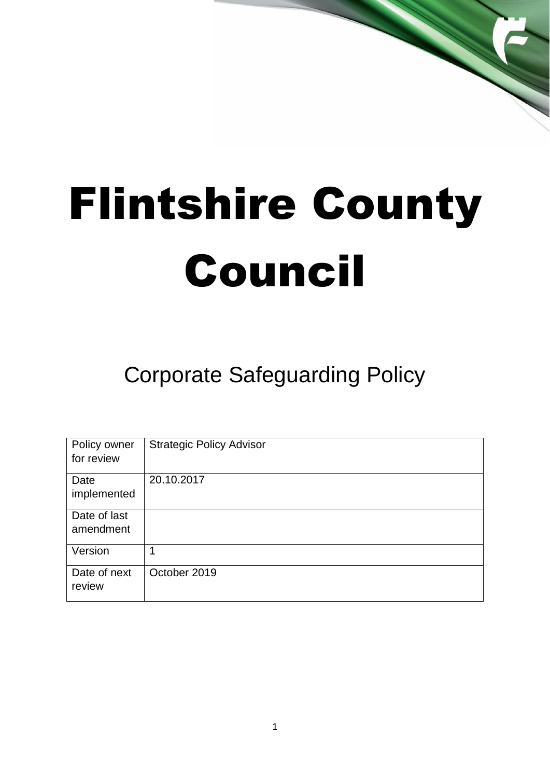# Flintshire County Council

# Corporate Safeguarding Policy

| Policy owner<br>for review | <b>Strategic Policy Advisor</b> |
|----------------------------|---------------------------------|
| Date<br>implemented        | 20.10.2017                      |
| Date of last<br>amendment  |                                 |
| Version                    | 1                               |
| Date of next<br>review     | October 2019                    |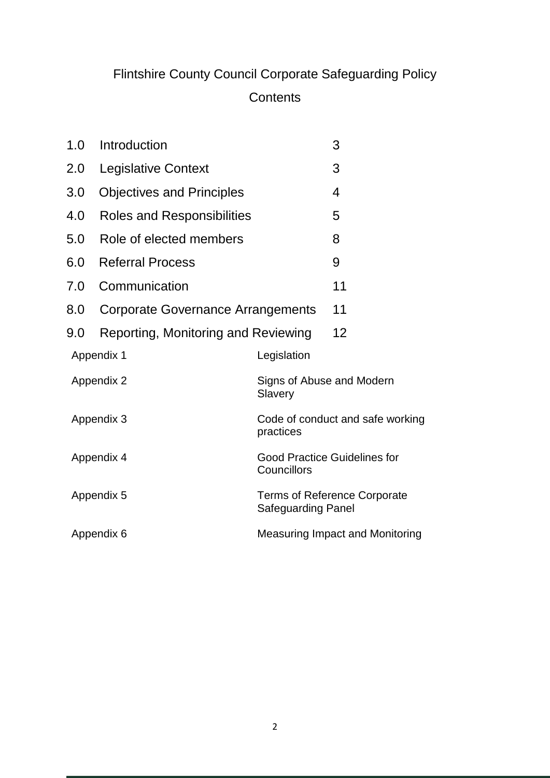## Flintshire County Council Corporate Safeguarding Policy

### **Contents**

| 1.0<br>Introduction |                                     |                                                           | 3                                      |
|---------------------|-------------------------------------|-----------------------------------------------------------|----------------------------------------|
| 2.0                 | <b>Legislative Context</b>          |                                                           | 3                                      |
| 3.0                 | <b>Objectives and Principles</b>    |                                                           | 4                                      |
| 4.0                 | <b>Roles and Responsibilities</b>   |                                                           | 5                                      |
| 5.0                 | Role of elected members             |                                                           | 8                                      |
| 6.0                 | <b>Referral Process</b>             |                                                           | 9                                      |
| 7.0                 | Communication                       |                                                           | 11                                     |
| 8.0                 | Corporate Governance Arrangements   |                                                           | 11                                     |
| 9.0                 | Reporting, Monitoring and Reviewing |                                                           | 12                                     |
| Appendix 1          |                                     | Legislation                                               |                                        |
| Appendix 2          |                                     | Signs of Abuse and Modern<br>Slavery                      |                                        |
| Appendix 3          |                                     | Code of conduct and safe working<br>practices             |                                        |
| Appendix 4          |                                     | <b>Good Practice Guidelines for</b><br>Councillors        |                                        |
| Appendix 5          |                                     | Terms of Reference Corporate<br><b>Safeguarding Panel</b> |                                        |
| Appendix 6          |                                     |                                                           | <b>Measuring Impact and Monitoring</b> |
|                     |                                     |                                                           |                                        |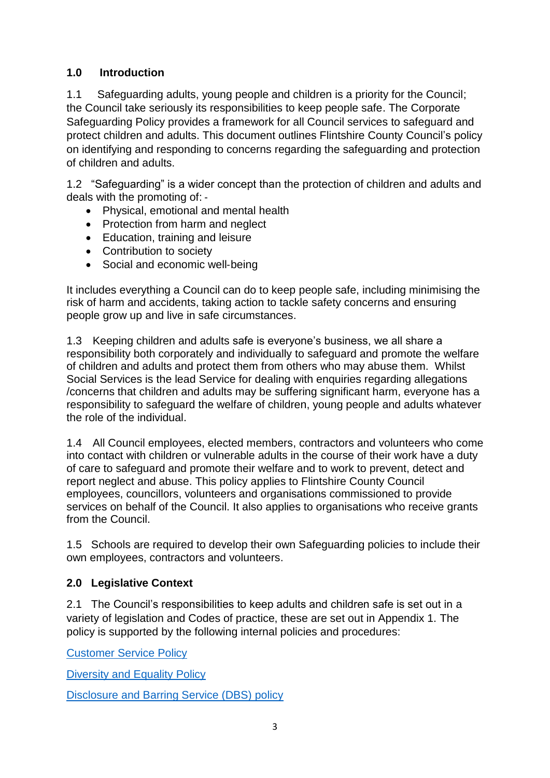#### **1.0 Introduction**

1.1 Safeguarding adults, young people and children is a priority for the Council; the Council take seriously its responsibilities to keep people safe. The Corporate Safeguarding Policy provides a framework for all Council services to safeguard and protect children and adults. This document outlines Flintshire County Council's policy on identifying and responding to concerns regarding the safeguarding and protection of children and adults.

1.2 "Safeguarding" is a wider concept than the protection of children and adults and deals with the promoting of: ‐

- Physical, emotional and mental health
- Protection from harm and neglect
- Education, training and leisure
- Contribution to society
- Social and economic well-being

It includes everything a Council can do to keep people safe, including minimising the risk of harm and accidents, taking action to tackle safety concerns and ensuring people grow up and live in safe circumstances.

1.3 Keeping children and adults safe is everyone's business, we all share a responsibility both corporately and individually to safeguard and promote the welfare of children and adults and protect them from others who may abuse them. Whilst Social Services is the lead Service for dealing with enquiries regarding allegations /concerns that children and adults may be suffering significant harm, everyone has a responsibility to safeguard the welfare of children, young people and adults whatever the role of the individual.

1.4 All Council employees, elected members, contractors and volunteers who come into contact with children or vulnerable adults in the course of their work have a duty of care to safeguard and promote their welfare and to work to prevent, detect and report neglect and abuse. This policy applies to Flintshire County Council employees, councillors, volunteers and organisations commissioned to provide services on behalf of the Council. It also applies to organisations who receive grants from the Council.

1.5 Schools are required to develop their own Safeguarding policies to include their own employees, contractors and volunteers.

#### **2.0 Legislative Context**

2.1 The Council's responsibilities to keep adults and children safe is set out in a variety of legislation and Codes of practice, these are set out in Appendix 1. The policy is supported by the following internal policies and procedures:

[Customer Service Policy](http://www.flintshire.gov.uk/en/PDFFiles/Customer-Services/Compliments,-Concerns--Complaints-Policy.PDF)

[Diversity and Equality Policy](http://infonet.flintshire.gov.uk/en/Policies-Forms-and-Procedures/Policies/Diversity-Equality-Policy.aspx)

[Disclosure and Barring Service \(DBS\) policy](http://infonet.flintshire.gov.uk/en/Policies-Forms-and-Procedures/Policies/DBS-Policy.aspx)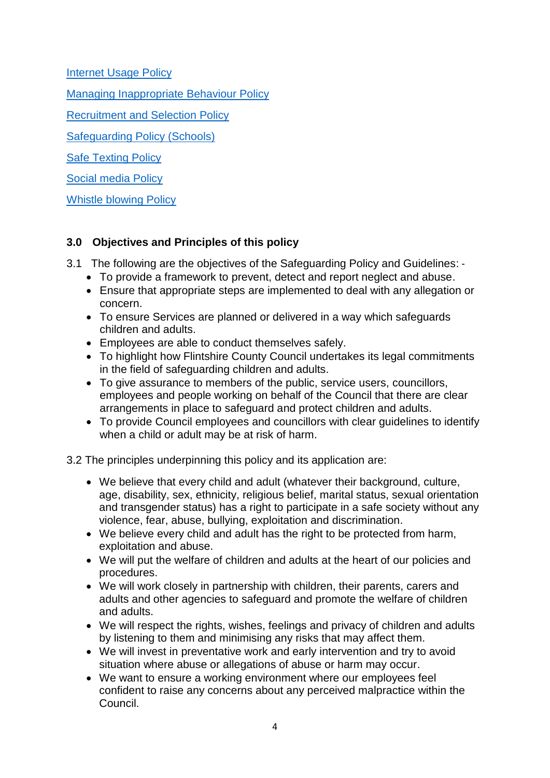[Internet Usage Policy](http://infonet.flintshire.gov.uk/en/Policies-Forms-and-Procedures/Policies/ISMS-Internet-Usage.aspx)

Managing Inappropriate Behaviour Policy

[Recruitment and Selection Policy](http://infonet.flintshire.gov.uk/en/Policies-Forms-and-Procedures/Policies/Recruitment-Selection-Policy.aspx)

Safeguarding Policy (Schools)

Safe Texting Policy

[Social media Policy](http://infonet.flintshire.gov.uk/en/Policies-Forms-and-Procedures/Policies/Social-Media-Policy.aspx)

[Whistle blowing Policy](http://infonet.flintshire.gov.uk/en/Policies-Forms-and-Procedures/Policies/Whistleblowing-Policy.aspx)

#### **3.0 Objectives and Principles of this policy**

- 3.1 The following are the objectives of the Safeguarding Policy and Guidelines: ‐
	- To provide a framework to prevent, detect and report neglect and abuse.
	- Ensure that appropriate steps are implemented to deal with any allegation or concern.
	- To ensure Services are planned or delivered in a way which safeguards children and adults.
	- Employees are able to conduct themselves safely.
	- To highlight how Flintshire County Council undertakes its legal commitments in the field of safeguarding children and adults.
	- To give assurance to members of the public, service users, councillors, employees and people working on behalf of the Council that there are clear arrangements in place to safeguard and protect children and adults.
	- To provide Council employees and councillors with clear guidelines to identify when a child or adult may be at risk of harm.

3.2 The principles underpinning this policy and its application are:

- We believe that every child and adult (whatever their background, culture, age, disability, sex, ethnicity, religious belief, marital status, sexual orientation and transgender status) has a right to participate in a safe society without any violence, fear, abuse, bullying, exploitation and discrimination.
- We believe every child and adult has the right to be protected from harm, exploitation and abuse.
- We will put the welfare of children and adults at the heart of our policies and procedures.
- We will work closely in partnership with children, their parents, carers and adults and other agencies to safeguard and promote the welfare of children and adults.
- We will respect the rights, wishes, feelings and privacy of children and adults by listening to them and minimising any risks that may affect them.
- We will invest in preventative work and early intervention and try to avoid situation where abuse or allegations of abuse or harm may occur.
- We want to ensure a working environment where our employees feel confident to raise any concerns about any perceived malpractice within the Council.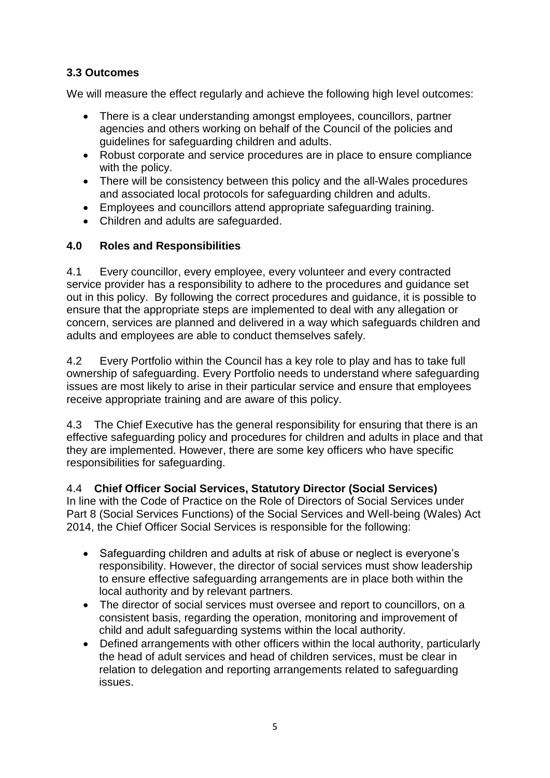#### **3.3 Outcomes**

We will measure the effect regularly and achieve the following high level outcomes:

- There is a clear understanding amongst employees, councillors, partner agencies and others working on behalf of the Council of the policies and guidelines for safeguarding children and adults.
- Robust corporate and service procedures are in place to ensure compliance with the policy.
- There will be consistency between this policy and the all-Wales procedures and associated local protocols for safeguarding children and adults.
- Employees and councillors attend appropriate safeguarding training.
- Children and adults are safeguarded.

#### **4.0 Roles and Responsibilities**

4.1 Every councillor, every employee, every volunteer and every contracted service provider has a responsibility to adhere to the procedures and guidance set out in this policy. By following the correct procedures and guidance, it is possible to ensure that the appropriate steps are implemented to deal with any allegation or concern, services are planned and delivered in a way which safeguards children and adults and employees are able to conduct themselves safely.

4.2 Every Portfolio within the Council has a key role to play and has to take full ownership of safeguarding. Every Portfolio needs to understand where safeguarding issues are most likely to arise in their particular service and ensure that employees receive appropriate training and are aware of this policy.

4.3 The Chief Executive has the general responsibility for ensuring that there is an effective safeguarding policy and procedures for children and adults in place and that they are implemented. However, there are some key officers who have specific responsibilities for safeguarding.

4.4 **Chief Officer Social Services, Statutory Director (Social Services)**  In line with the Code of Practice on the Role of Directors of Social Services under Part 8 (Social Services Functions) of the Social Services and Well‐being (Wales) Act 2014, the Chief Officer Social Services is responsible for the following:

- Safeguarding children and adults at risk of abuse or neglect is everyone's responsibility. However, the director of social services must show leadership to ensure effective safeguarding arrangements are in place both within the local authority and by relevant partners.
- The director of social services must oversee and report to councillors, on a consistent basis, regarding the operation, monitoring and improvement of child and adult safeguarding systems within the local authority.
- Defined arrangements with other officers within the local authority, particularly the head of adult services and head of children services, must be clear in relation to delegation and reporting arrangements related to safeguarding issues.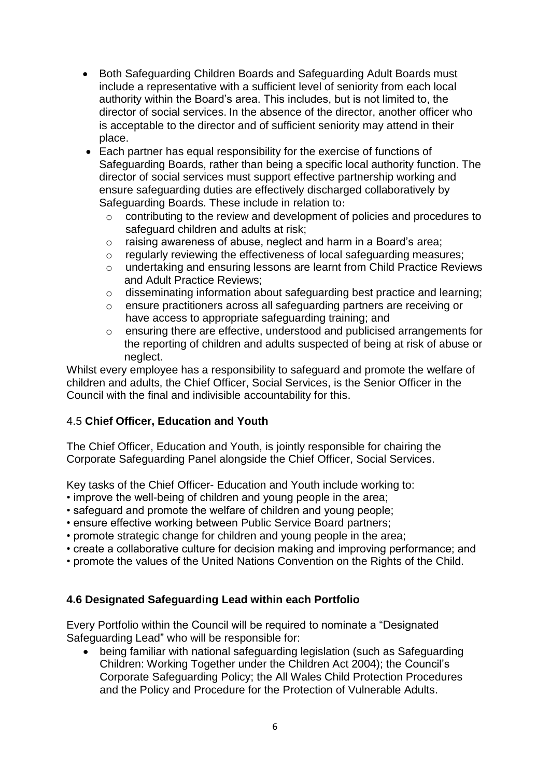- Both Safeguarding Children Boards and Safeguarding Adult Boards must include a representative with a sufficient level of seniority from each local authority within the Board's area. This includes, but is not limited to, the director of social services. In the absence of the director, another officer who is acceptable to the director and of sufficient seniority may attend in their place.
- Each partner has equal responsibility for the exercise of functions of Safeguarding Boards, rather than being a specific local authority function. The director of social services must support effective partnership working and ensure safeguarding duties are effectively discharged collaboratively by Safeguarding Boards. These include in relation to:
	- o contributing to the review and development of policies and procedures to safeguard children and adults at risk;
	- o raising awareness of abuse, neglect and harm in a Board's area;
	- o regularly reviewing the effectiveness of local safeguarding measures;
	- o undertaking and ensuring lessons are learnt from Child Practice Reviews and Adult Practice Reviews;
	- o disseminating information about safeguarding best practice and learning;
	- o ensure practitioners across all safeguarding partners are receiving or have access to appropriate safeguarding training; and
	- o ensuring there are effective, understood and publicised arrangements for the reporting of children and adults suspected of being at risk of abuse or neglect.

Whilst every employee has a responsibility to safeguard and promote the welfare of children and adults, the Chief Officer, Social Services, is the Senior Officer in the Council with the final and indivisible accountability for this.

#### 4.5 **Chief Officer, Education and Youth**

The Chief Officer, Education and Youth, is jointly responsible for chairing the Corporate Safeguarding Panel alongside the Chief Officer, Social Services.

Key tasks of the Chief Officer- Education and Youth include working to:

- improve the well-being of children and young people in the area;
- safeguard and promote the welfare of children and young people;
- ensure effective working between Public Service Board partners;
- promote strategic change for children and young people in the area;
- create a collaborative culture for decision making and improving performance; and
- promote the values of the United Nations Convention on the Rights of the Child.

#### **4.6 Designated Safeguarding Lead within each Portfolio**

Every Portfolio within the Council will be required to nominate a "Designated Safeguarding Lead" who will be responsible for:

 being familiar with national safeguarding legislation (such as Safeguarding Children: Working Together under the Children Act 2004); the Council's Corporate Safeguarding Policy; the All Wales Child Protection Procedures and the Policy and Procedure for the Protection of Vulnerable Adults.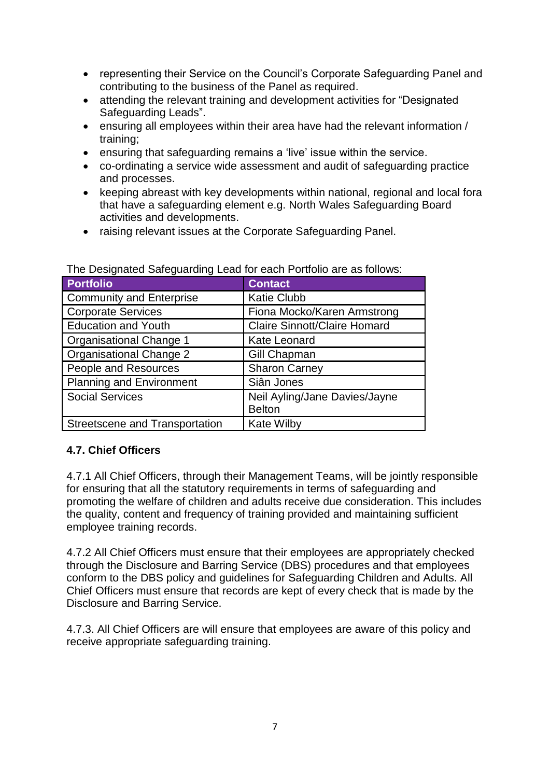- representing their Service on the Council's Corporate Safeguarding Panel and contributing to the business of the Panel as required.
- attending the relevant training and development activities for "Designated Safeguarding Leads".
- ensuring all employees within their area have had the relevant information / training;
- ensuring that safeguarding remains a 'live' issue within the service.
- co-ordinating a service wide assessment and audit of safeguarding practice and processes.
- keeping abreast with key developments within national, regional and local fora that have a safeguarding element e.g. North Wales Safeguarding Board activities and developments.
- raising relevant issues at the Corporate Safeguarding Panel.

| <b>Portfolio</b>                      | <b>Contact</b>                      |  |
|---------------------------------------|-------------------------------------|--|
| <b>Community and Enterprise</b>       | <b>Katie Clubb</b>                  |  |
| <b>Corporate Services</b>             | Fiona Mocko/Karen Armstrong         |  |
| <b>Education and Youth</b>            | <b>Claire Sinnott/Claire Homard</b> |  |
| <b>Organisational Change 1</b>        | <b>Kate Leonard</b>                 |  |
| <b>Organisational Change 2</b>        | Gill Chapman                        |  |
| People and Resources                  | <b>Sharon Carney</b>                |  |
| <b>Planning and Environment</b>       | Siân Jones                          |  |
| <b>Social Services</b>                | Neil Ayling/Jane Davies/Jayne       |  |
|                                       | <b>Belton</b>                       |  |
| <b>Streetscene and Transportation</b> | <b>Kate Wilby</b>                   |  |

The Designated Safeguarding Lead for each Portfolio are as follows:

#### **4.7. Chief Officers**

4.7.1 All Chief Officers, through their Management Teams, will be jointly responsible for ensuring that all the statutory requirements in terms of safeguarding and promoting the welfare of children and adults receive due consideration. This includes the quality, content and frequency of training provided and maintaining sufficient employee training records.

4.7.2 All Chief Officers must ensure that their employees are appropriately checked through the Disclosure and Barring Service (DBS) procedures and that employees conform to the DBS policy and guidelines for Safeguarding Children and Adults. All Chief Officers must ensure that records are kept of every check that is made by the Disclosure and Barring Service.

4.7.3. All Chief Officers are will ensure that employees are aware of this policy and receive appropriate safeguarding training.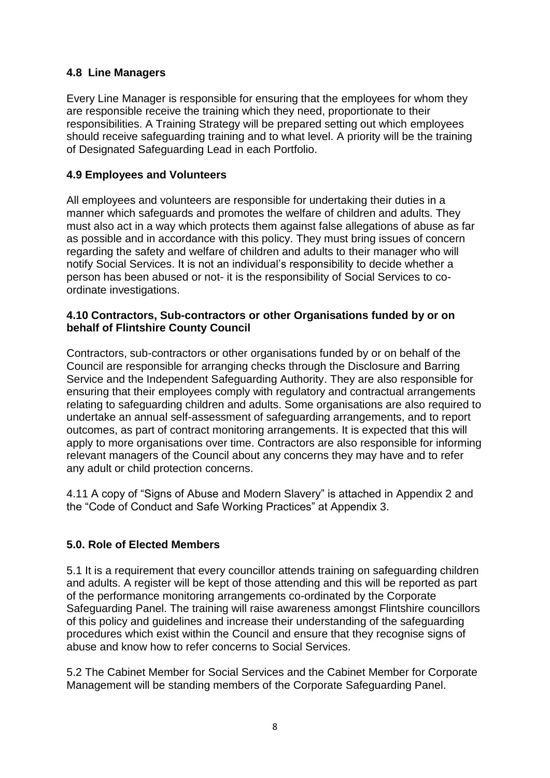#### **4.8 Line Managers**

Every Line Manager is responsible for ensuring that the employees for whom they are responsible receive the training which they need, proportionate to their responsibilities. A Training Strategy will be prepared setting out which employees should receive safeguarding training and to what level. A priority will be the training of Designated Safeguarding Lead in each Portfolio.

#### **4.9 Employees and Volunteers**

All employees and volunteers are responsible for undertaking their duties in a manner which safeguards and promotes the welfare of children and adults. They must also act in a way which protects them against false allegations of abuse as far as possible and in accordance with this policy. They must bring issues of concern regarding the safety and welfare of children and adults to their manager who will notify Social Services. It is not an individual's responsibility to decide whether a person has been abused or not- it is the responsibility of Social Services to coordinate investigations.

#### **4.10 Contractors, Sub-contractors or other Organisations funded by or on behalf of Flintshire County Council**

Contractors, sub-contractors or other organisations funded by or on behalf of the Council are responsible for arranging checks through the Disclosure and Barring Service and the Independent Safeguarding Authority. They are also responsible for ensuring that their employees comply with regulatory and contractual arrangements relating to safeguarding children and adults. Some organisations are also required to undertake an annual self-assessment of safeguarding arrangements, and to report outcomes, as part of contract monitoring arrangements. It is expected that this will apply to more organisations over time. Contractors are also responsible for informing relevant managers of the Council about any concerns they may have and to refer any adult or child protection concerns.

4.11 A copy of "Signs of Abuse and Modern Slavery" is attached in Appendix 2 and the "Code of Conduct and Safe Working Practices" at Appendix 3.

#### **5.0. Role of Elected Members**

5.1 It is a requirement that every councillor attends training on safeguarding children and adults. A register will be kept of those attending and this will be reported as part of the performance monitoring arrangements co-ordinated by the Corporate Safeguarding Panel. The training will raise awareness amongst Flintshire councillors of this policy and guidelines and increase their understanding of the safeguarding procedures which exist within the Council and ensure that they recognise signs of abuse and know how to refer concerns to Social Services.

5.2 The Cabinet Member for Social Services and the Cabinet Member for Corporate Management will be standing members of the Corporate Safeguarding Panel.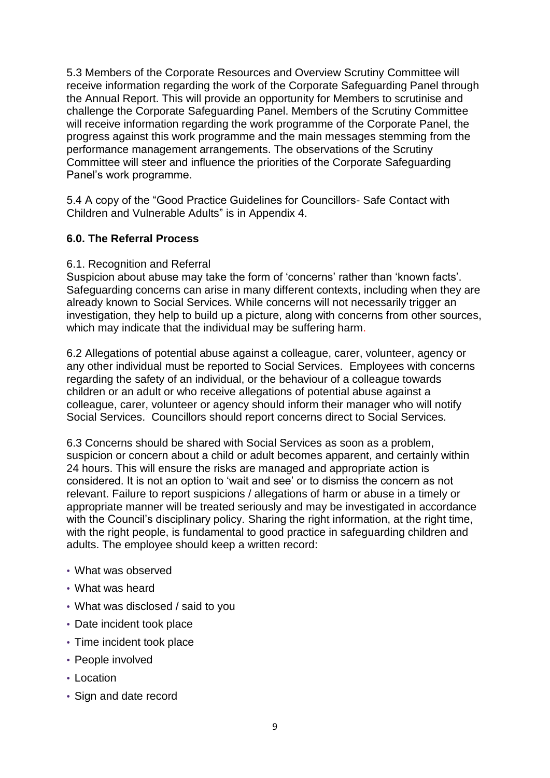5.3 Members of the Corporate Resources and Overview Scrutiny Committee will receive information regarding the work of the Corporate Safeguarding Panel through the Annual Report. This will provide an opportunity for Members to scrutinise and challenge the Corporate Safeguarding Panel. Members of the Scrutiny Committee will receive information regarding the work programme of the Corporate Panel, the progress against this work programme and the main messages stemming from the performance management arrangements. The observations of the Scrutiny Committee will steer and influence the priorities of the Corporate Safeguarding Panel's work programme.

5.4 A copy of the "Good Practice Guidelines for Councillors- Safe Contact with Children and Vulnerable Adults" is in Appendix 4.

#### **6.0. The Referral Process**

#### 6.1. Recognition and Referral

Suspicion about abuse may take the form of 'concerns' rather than 'known facts'. Safeguarding concerns can arise in many different contexts, including when they are already known to Social Services. While concerns will not necessarily trigger an investigation, they help to build up a picture, along with concerns from other sources, which may indicate that the individual may be suffering harm.

6.2 Allegations of potential abuse against a colleague, carer, volunteer, agency or any other individual must be reported to Social Services. Employees with concerns regarding the safety of an individual, or the behaviour of a colleague towards children or an adult or who receive allegations of potential abuse against a colleague, carer, volunteer or agency should inform their manager who will notify Social Services. Councillors should report concerns direct to Social Services.

6.3 Concerns should be shared with Social Services as soon as a problem, suspicion or concern about a child or adult becomes apparent, and certainly within 24 hours. This will ensure the risks are managed and appropriate action is considered. It is not an option to 'wait and see' or to dismiss the concern as not relevant. Failure to report suspicions / allegations of harm or abuse in a timely or appropriate manner will be treated seriously and may be investigated in accordance with the Council's disciplinary policy. Sharing the right information, at the right time, with the right people, is fundamental to good practice in safeguarding children and adults. The employee should keep a written record:

- What was observed
- What was heard
- What was disclosed / said to you
- Date incident took place
- Time incident took place
- People involved
- Location
- Sign and date record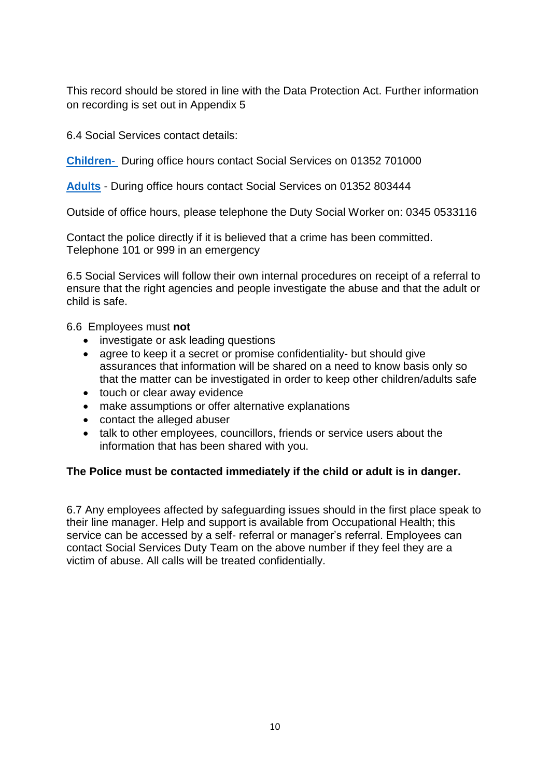This record should be stored in line with the Data Protection Act. Further information on recording is set out in Appendix 5

6.4 Social Services contact details:

**[Children](http://www.flintshire.gov.uk/en/Resident/Social-Services/Child-Protection.aspx)**- During office hours contact Social Services on 01352 701000

**[Adults](http://www.flintshire.gov.uk/en/Resident/Social-Services/Adult-Safeguarding.aspx)** - During office hours contact Social Services on 01352 803444

Outside of office hours, please telephone the Duty Social Worker on: 0345 0533116

Contact the police directly if it is believed that a crime has been committed. Telephone 101 or 999 in an emergency

6.5 Social Services will follow their own internal procedures on receipt of a referral to ensure that the right agencies and people investigate the abuse and that the adult or child is safe.

6.6 Employees must **not**

- investigate or ask leading questions
- agree to keep it a secret or promise confidentiality- but should give assurances that information will be shared on a need to know basis only so that the matter can be investigated in order to keep other children/adults safe
- touch or clear away evidence
- make assumptions or offer alternative explanations
- contact the alleged abuser
- talk to other employees, councillors, friends or service users about the information that has been shared with you.

#### **The Police must be contacted immediately if the child or adult is in danger.**

6.7 Any employees affected by safeguarding issues should in the first place speak to their line manager. Help and support is available from Occupational Health; this service can be accessed by a self- referral or manager's referral. Employees can contact Social Services Duty Team on the above number if they feel they are a victim of abuse. All calls will be treated confidentially.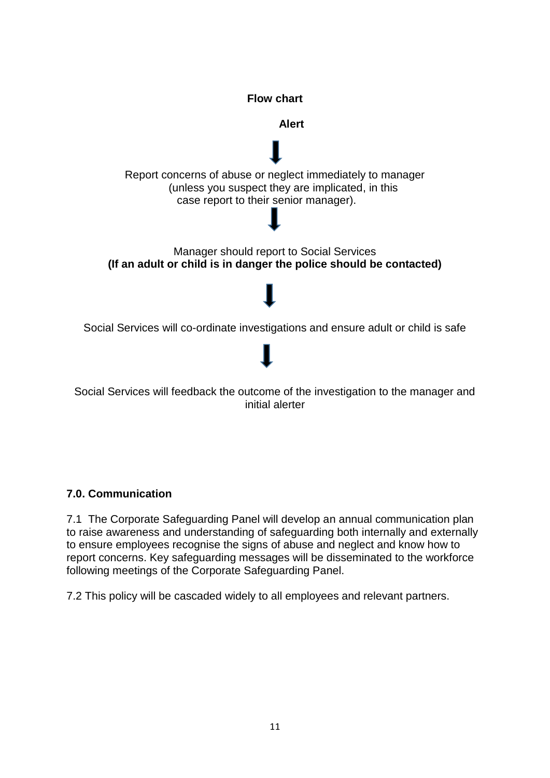

#### **7.0. Communication**

7.1 The Corporate Safeguarding Panel will develop an annual communication plan to raise awareness and understanding of safeguarding both internally and externally to ensure employees recognise the signs of abuse and neglect and know how to report concerns. Key safeguarding messages will be disseminated to the workforce following meetings of the Corporate Safeguarding Panel.

7.2 This policy will be cascaded widely to all employees and relevant partners.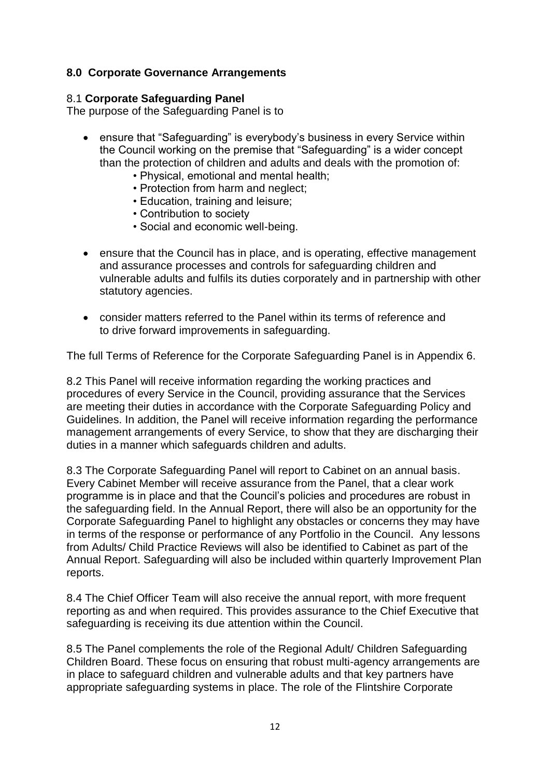#### **8.0 Corporate Governance Arrangements**

#### 8.1 **Corporate Safeguarding Panel**

The purpose of the Safeguarding Panel is to

- ensure that "Safeguarding" is everybody's business in every Service within the Council working on the premise that "Safeguarding" is a wider concept than the protection of children and adults and deals with the promotion of:
	- Physical, emotional and mental health;
	- Protection from harm and neglect;
	- Education, training and leisure;
	- Contribution to society
	- Social and economic well-being.
- ensure that the Council has in place, and is operating, effective management and assurance processes and controls for safeguarding children and vulnerable adults and fulfils its duties corporately and in partnership with other statutory agencies.
- consider matters referred to the Panel within its terms of reference and to drive forward improvements in safeguarding.

The full Terms of Reference for the Corporate Safeguarding Panel is in Appendix 6.

8.2 This Panel will receive information regarding the working practices and procedures of every Service in the Council, providing assurance that the Services are meeting their duties in accordance with the Corporate Safeguarding Policy and Guidelines. In addition, the Panel will receive information regarding the performance management arrangements of every Service, to show that they are discharging their duties in a manner which safeguards children and adults.

8.3 The Corporate Safeguarding Panel will report to Cabinet on an annual basis. Every Cabinet Member will receive assurance from the Panel, that a clear work programme is in place and that the Council's policies and procedures are robust in the safeguarding field. In the Annual Report, there will also be an opportunity for the Corporate Safeguarding Panel to highlight any obstacles or concerns they may have in terms of the response or performance of any Portfolio in the Council. Any lessons from Adults/ Child Practice Reviews will also be identified to Cabinet as part of the Annual Report. Safeguarding will also be included within quarterly Improvement Plan reports.

8.4 The Chief Officer Team will also receive the annual report, with more frequent reporting as and when required. This provides assurance to the Chief Executive that safeguarding is receiving its due attention within the Council.

8.5 The Panel complements the role of the Regional Adult/ Children Safeguarding Children Board. These focus on ensuring that robust multi-agency arrangements are in place to safeguard children and vulnerable adults and that key partners have appropriate safeguarding systems in place. The role of the Flintshire Corporate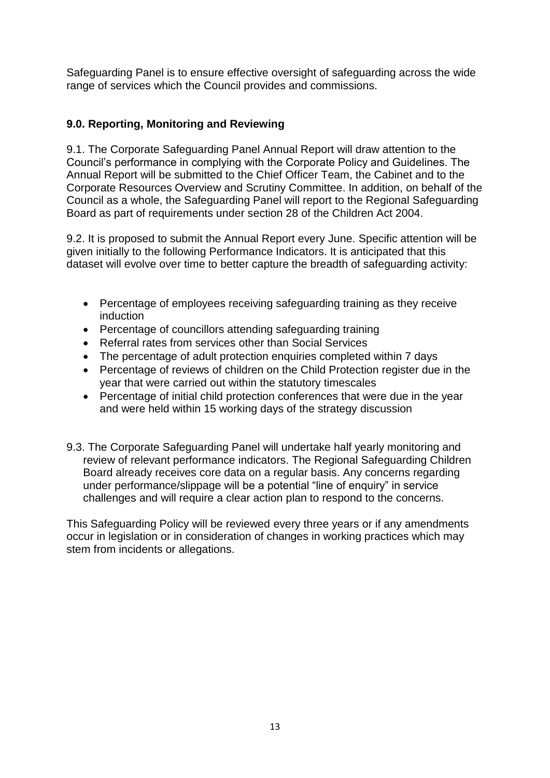Safeguarding Panel is to ensure effective oversight of safeguarding across the wide range of services which the Council provides and commissions.

#### **9.0. Reporting, Monitoring and Reviewing**

9.1. The Corporate Safeguarding Panel Annual Report will draw attention to the Council's performance in complying with the Corporate Policy and Guidelines. The Annual Report will be submitted to the Chief Officer Team, the Cabinet and to the Corporate Resources Overview and Scrutiny Committee. In addition, on behalf of the Council as a whole, the Safeguarding Panel will report to the Regional Safeguarding Board as part of requirements under section 28 of the Children Act 2004.

9.2. It is proposed to submit the Annual Report every June. Specific attention will be given initially to the following Performance Indicators. It is anticipated that this dataset will evolve over time to better capture the breadth of safeguarding activity:

- Percentage of employees receiving safeguarding training as they receive induction
- Percentage of councillors attending safeguarding training
- Referral rates from services other than Social Services
- The percentage of adult protection enquiries completed within 7 days
- Percentage of reviews of children on the Child Protection register due in the year that were carried out within the statutory timescales
- Percentage of initial child protection conferences that were due in the year and were held within 15 working days of the strategy discussion
- 9.3. The Corporate Safeguarding Panel will undertake half yearly monitoring and review of relevant performance indicators. The Regional Safeguarding Children Board already receives core data on a regular basis. Any concerns regarding under performance/slippage will be a potential "line of enquiry" in service challenges and will require a clear action plan to respond to the concerns.

This Safeguarding Policy will be reviewed every three years or if any amendments occur in legislation or in consideration of changes in working practices which may stem from incidents or allegations.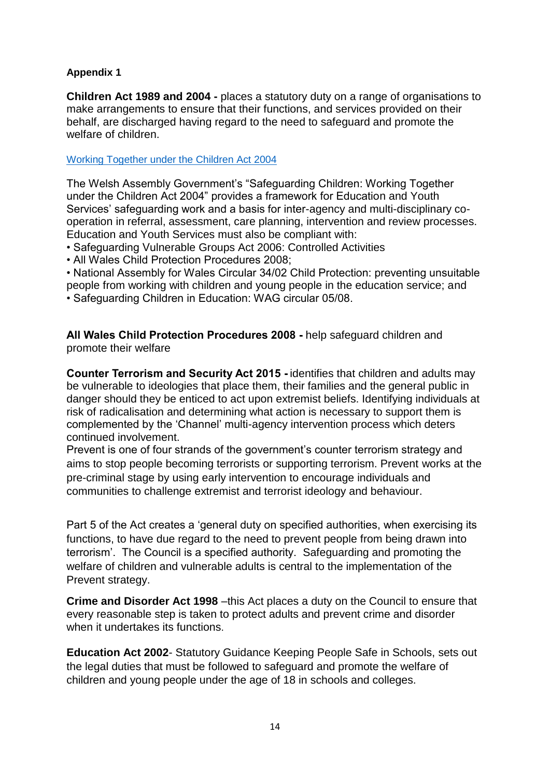#### **Appendix 1**

**Children Act 1989 and 2004 -** places a statutory duty on a range of organisations to make arrangements to ensure that their functions, and services provided on their behalf, are discharged having regard to the need to safeguard and promote the welfare of children.

[Working Together under the Children Act 2004](http://gov.wales/pubs/circulars/2007/nafwc1207en.pdf?lang=en)

The Welsh Assembly Government's "Safeguarding Children: Working Together under the Children Act 2004" provides a framework for Education and Youth Services' safeguarding work and a basis for inter-agency and multi-disciplinary cooperation in referral, assessment, care planning, intervention and review processes. Education and Youth Services must also be compliant with:

• Safeguarding Vulnerable Groups Act 2006: Controlled Activities

• All Wales Child Protection Procedures 2008;

• National Assembly for Wales Circular 34/02 Child Protection: preventing unsuitable people from working with children and young people in the education service; and • Safeguarding Children in Education: WAG circular 05/08.

**All Wales Child Protection Procedures 2008 -** help safeguard children and promote their welfare

**Counter Terrorism and Security Act 2015 -** identifies that children and adults may be vulnerable to ideologies that place them, their families and the general public in danger should they be enticed to act upon extremist beliefs. Identifying individuals at risk of radicalisation and determining what action is necessary to support them is complemented by the 'Channel' multi-agency intervention process which deters continued involvement.

Prevent is one of four strands of the government's counter terrorism strategy and aims to stop people becoming terrorists or supporting terrorism. Prevent works at the pre-criminal stage by using early intervention to encourage individuals and communities to challenge extremist and terrorist ideology and behaviour.

Part 5 of the Act creates a 'general duty on specified authorities, when exercising its functions, to have due regard to the need to prevent people from being drawn into terrorism'. The Council is a specified authority. Safeguarding and promoting the welfare of children and vulnerable adults is central to the implementation of the Prevent strategy.

**Crime and Disorder Act 1998** –this Act places a duty on the Council to ensure that every reasonable step is taken to protect adults and prevent crime and disorder when it undertakes its functions.

**Education Act 2002**- Statutory Guidance Keeping People Safe in Schools, sets out the legal duties that must be followed to safeguard and promote the welfare of children and young people under the age of 18 in schools and colleges.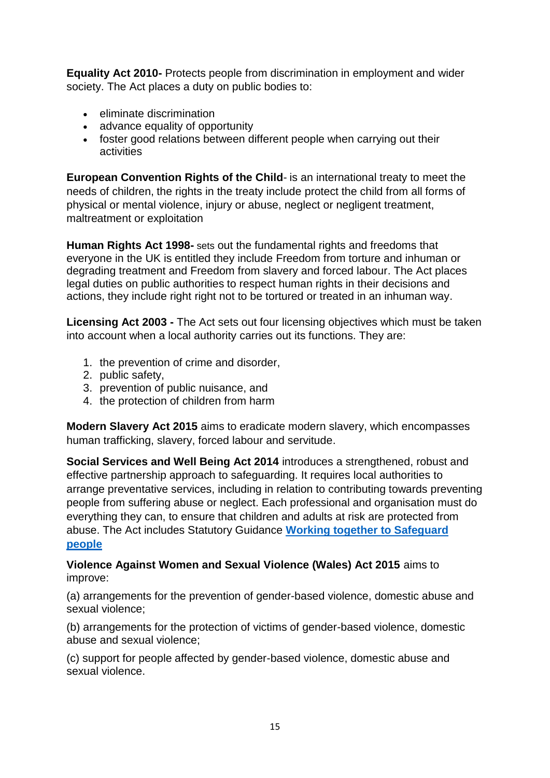**Equality Act 2010-** Protects people from discrimination in employment and wider society. The Act places a duty on public bodies to:

- eliminate discrimination
- advance equality of opportunity
- foster good relations between different people when carrying out their activities

**European Convention Rights of the Child**- is an international treaty to meet the needs of children, the rights in the treaty include protect the child from all forms of physical or mental violence, injury or abuse, neglect or negligent treatment, maltreatment or exploitation

**Human Rights Act 1998-** sets out the fundamental rights and freedoms that everyone in the UK is entitled they include Freedom from torture and inhuman or degrading treatment and Freedom from slavery and forced labour. The Act places legal duties on public authorities to respect human rights in their decisions and actions, they include right right not to be tortured or treated in an inhuman way.

**Licensing Act 2003 -** The Act sets out four licensing objectives which must be taken into account when a local authority carries out its functions. They are:

- 1. the prevention of crime and disorder,
- 2. public safety,
- 3. prevention of public nuisance, and
- 4. the protection of children from harm

**Modern Slavery Act 2015** aims to eradicate modern slavery, which encompasses human trafficking, slavery, forced labour and servitude.

**Social Services and Well Being Act 2014** introduces a strengthened, robust and effective partnership approach to safeguarding. It requires local authorities to arrange preventative services, including in relation to contributing towards preventing people from suffering abuse or neglect. Each professional and organisation must do everything they can, to ensure that children and adults at risk are protected from abuse. The Act includes Statutory Guidance **[Working together to Safeguard](http://www.ccwales.org.uk/codes-of-practice-and-statutory-guidance)  [people](http://www.ccwales.org.uk/codes-of-practice-and-statutory-guidance)**

#### **Violence Against Women and Sexual Violence (Wales) Act 2015** aims to improve:

(a) arrangements for the prevention of gender-based violence, domestic abuse and sexual violence;

(b) arrangements for the protection of victims of gender-based violence, domestic abuse and sexual violence;

(c) support for people affected by gender-based violence, domestic abuse and sexual violence.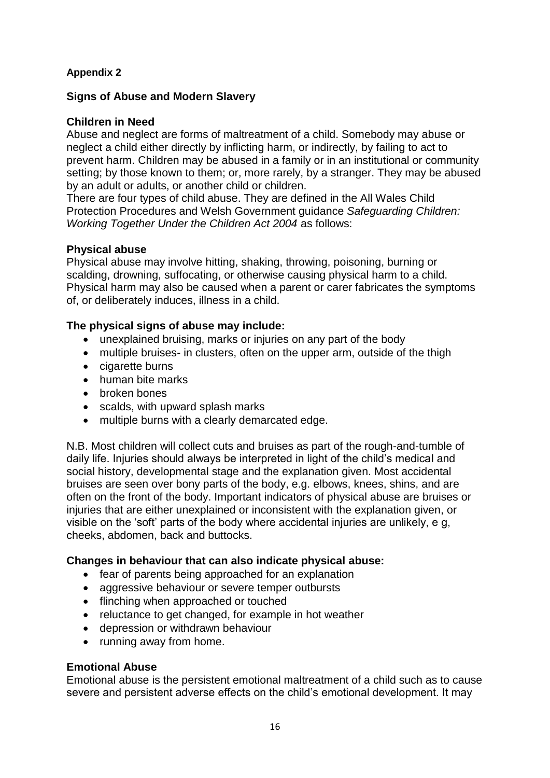#### **Appendix 2**

#### **Signs of Abuse and Modern Slavery**

#### **Children in Need**

Abuse and neglect are forms of maltreatment of a child. Somebody may abuse or neglect a child either directly by inflicting harm, or indirectly, by failing to act to prevent harm. Children may be abused in a family or in an institutional or community setting; by those known to them; or, more rarely, by a stranger. They may be abused by an adult or adults, or another child or children.

There are four types of child abuse. They are defined in the All Wales Child Protection Procedures and Welsh Government guidance *Safeguarding Children: Working Together Under the Children Act 2004* as follows:

#### **Physical abuse**

Physical abuse may involve hitting, shaking, throwing, poisoning, burning or scalding, drowning, suffocating, or otherwise causing physical harm to a child. Physical harm may also be caused when a parent or carer fabricates the symptoms of, or deliberately induces, illness in a child.

#### **The physical signs of abuse may include:**

- unexplained bruising, marks or injuries on any part of the body
- multiple bruises- in clusters, often on the upper arm, outside of the thigh
- cigarette burns
- human bite marks
- broken bones
- scalds, with upward splash marks
- multiple burns with a clearly demarcated edge.

N.B. Most children will collect cuts and bruises as part of the rough-and-tumble of daily life. Injuries should always be interpreted in light of the child's medical and social history, developmental stage and the explanation given. Most accidental bruises are seen over bony parts of the body, e.g. elbows, knees, shins, and are often on the front of the body. Important indicators of physical abuse are bruises or injuries that are either unexplained or inconsistent with the explanation given, or visible on the 'soft' parts of the body where accidental injuries are unlikely, e g, cheeks, abdomen, back and buttocks.

#### **Changes in behaviour that can also indicate physical abuse:**

- fear of parents being approached for an explanation
- aggressive behaviour or severe temper outbursts
- flinching when approached or touched
- reluctance to get changed, for example in hot weather
- depression or withdrawn behaviour
- running away from home.

#### **Emotional Abuse**

Emotional abuse is the persistent emotional maltreatment of a child such as to cause severe and persistent adverse effects on the child's emotional development. It may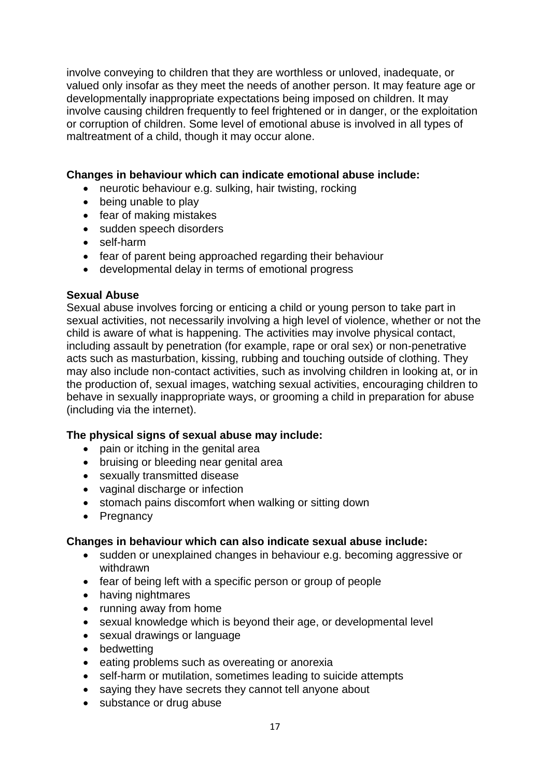involve conveying to children that they are worthless or unloved, inadequate, or valued only insofar as they meet the needs of another person. It may feature age or developmentally inappropriate expectations being imposed on children. It may involve causing children frequently to feel frightened or in danger, or the exploitation or corruption of children. Some level of emotional abuse is involved in all types of maltreatment of a child, though it may occur alone.

#### **Changes in behaviour which can indicate emotional abuse include:**

- neurotic behaviour e.g. sulking, hair twisting, rocking
- being unable to play
- fear of making mistakes
- sudden speech disorders
- self-harm
- fear of parent being approached regarding their behaviour
- developmental delay in terms of emotional progress

#### **Sexual Abuse**

Sexual abuse involves forcing or enticing a child or young person to take part in sexual activities, not necessarily involving a high level of violence, whether or not the child is aware of what is happening. The activities may involve physical contact, including assault by penetration (for example, rape or oral sex) or non-penetrative acts such as masturbation, kissing, rubbing and touching outside of clothing. They may also include non-contact activities, such as involving children in looking at, or in the production of, sexual images, watching sexual activities, encouraging children to behave in sexually inappropriate ways, or grooming a child in preparation for abuse (including via the internet).

#### **The physical signs of sexual abuse may include:**

- pain or itching in the genital area
- bruising or bleeding near genital area
- sexually transmitted disease
- vaginal discharge or infection
- stomach pains discomfort when walking or sitting down
- Pregnancy

#### **Changes in behaviour which can also indicate sexual abuse include:**

- sudden or unexplained changes in behaviour e.g. becoming aggressive or withdrawn
- fear of being left with a specific person or group of people
- having nightmares
- running away from home
- sexual knowledge which is beyond their age, or developmental level
- sexual drawings or language
- bedwetting
- eating problems such as overeating or anorexia
- self-harm or mutilation, sometimes leading to suicide attempts
- saying they have secrets they cannot tell anyone about
- substance or drug abuse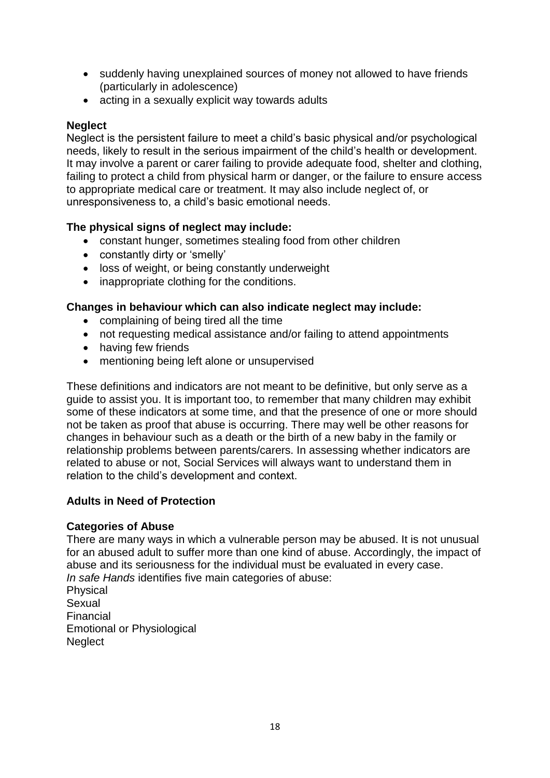- suddenly having unexplained sources of money not allowed to have friends (particularly in adolescence)
- acting in a sexually explicit way towards adults

#### **Neglect**

Neglect is the persistent failure to meet a child's basic physical and/or psychological needs, likely to result in the serious impairment of the child's health or development. It may involve a parent or carer failing to provide adequate food, shelter and clothing, failing to protect a child from physical harm or danger, or the failure to ensure access to appropriate medical care or treatment. It may also include neglect of, or unresponsiveness to, a child's basic emotional needs.

#### **The physical signs of neglect may include:**

- constant hunger, sometimes stealing food from other children
- constantly dirty or 'smelly'
- loss of weight, or being constantly underweight
- inappropriate clothing for the conditions.

#### **Changes in behaviour which can also indicate neglect may include:**

- complaining of being tired all the time
- not requesting medical assistance and/or failing to attend appointments
- having few friends
- mentioning being left alone or unsupervised

These definitions and indicators are not meant to be definitive, but only serve as a guide to assist you. It is important too, to remember that many children may exhibit some of these indicators at some time, and that the presence of one or more should not be taken as proof that abuse is occurring. There may well be other reasons for changes in behaviour such as a death or the birth of a new baby in the family or relationship problems between parents/carers. In assessing whether indicators are related to abuse or not, Social Services will always want to understand them in relation to the child's development and context.

#### **Adults in Need of Protection**

#### **Categories of Abuse**

There are many ways in which a vulnerable person may be abused. It is not unusual for an abused adult to suffer more than one kind of abuse. Accordingly, the impact of abuse and its seriousness for the individual must be evaluated in every case. *In safe Hands* identifies five main categories of abuse:

Physical Sexual Financial Emotional or Physiological **Neglect**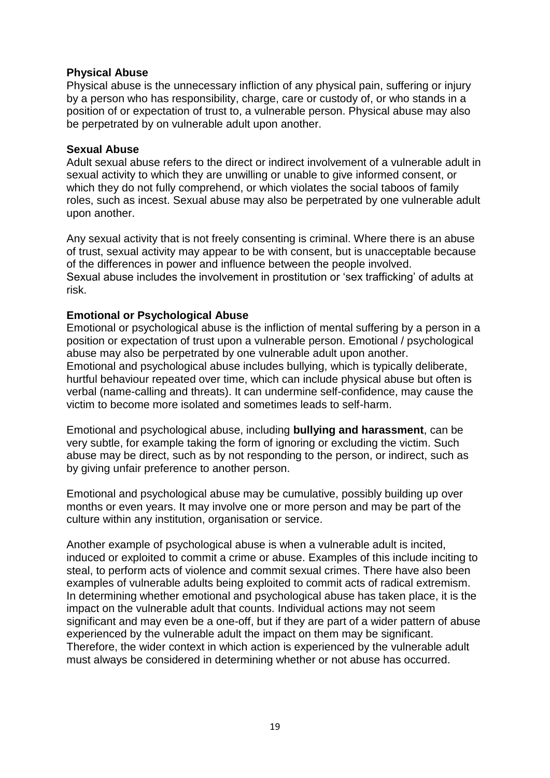#### **Physical Abuse**

Physical abuse is the unnecessary infliction of any physical pain, suffering or injury by a person who has responsibility, charge, care or custody of, or who stands in a position of or expectation of trust to, a vulnerable person. Physical abuse may also be perpetrated by on vulnerable adult upon another.

#### **Sexual Abuse**

Adult sexual abuse refers to the direct or indirect involvement of a vulnerable adult in sexual activity to which they are unwilling or unable to give informed consent, or which they do not fully comprehend, or which violates the social taboos of family roles, such as incest. Sexual abuse may also be perpetrated by one vulnerable adult upon another.

Any sexual activity that is not freely consenting is criminal. Where there is an abuse of trust, sexual activity may appear to be with consent, but is unacceptable because of the differences in power and influence between the people involved. Sexual abuse includes the involvement in prostitution or 'sex trafficking' of adults at risk.

#### **Emotional or Psychological Abuse**

Emotional or psychological abuse is the infliction of mental suffering by a person in a position or expectation of trust upon a vulnerable person. Emotional / psychological abuse may also be perpetrated by one vulnerable adult upon another. Emotional and psychological abuse includes bullying, which is typically deliberate, hurtful behaviour repeated over time, which can include physical abuse but often is verbal (name-calling and threats). It can undermine self-confidence, may cause the victim to become more isolated and sometimes leads to self-harm.

Emotional and psychological abuse, including **bullying and harassment**, can be very subtle, for example taking the form of ignoring or excluding the victim. Such abuse may be direct, such as by not responding to the person, or indirect, such as by giving unfair preference to another person.

Emotional and psychological abuse may be cumulative, possibly building up over months or even years. It may involve one or more person and may be part of the culture within any institution, organisation or service.

Another example of psychological abuse is when a vulnerable adult is incited, induced or exploited to commit a crime or abuse. Examples of this include inciting to steal, to perform acts of violence and commit sexual crimes. There have also been examples of vulnerable adults being exploited to commit acts of radical extremism. In determining whether emotional and psychological abuse has taken place, it is the impact on the vulnerable adult that counts. Individual actions may not seem significant and may even be a one-off, but if they are part of a wider pattern of abuse experienced by the vulnerable adult the impact on them may be significant. Therefore, the wider context in which action is experienced by the vulnerable adult must always be considered in determining whether or not abuse has occurred.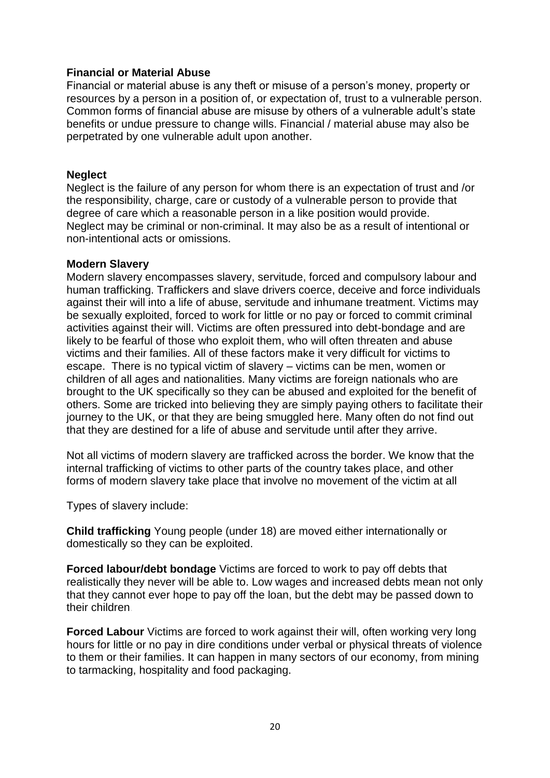#### **Financial or Material Abuse**

Financial or material abuse is any theft or misuse of a person's money, property or resources by a person in a position of, or expectation of, trust to a vulnerable person. Common forms of financial abuse are misuse by others of a vulnerable adult's state benefits or undue pressure to change wills. Financial / material abuse may also be perpetrated by one vulnerable adult upon another.

#### **Neglect**

Neglect is the failure of any person for whom there is an expectation of trust and /or the responsibility, charge, care or custody of a vulnerable person to provide that degree of care which a reasonable person in a like position would provide. Neglect may be criminal or non-criminal. It may also be as a result of intentional or non-intentional acts or omissions.

#### **Modern Slavery**

Modern slavery encompasses slavery, servitude, forced and compulsory labour and human trafficking. Traffickers and slave drivers coerce, deceive and force individuals against their will into a life of abuse, servitude and inhumane treatment. Victims may be sexually exploited, forced to work for little or no pay or forced to commit criminal activities against their will. Victims are often pressured into debt-bondage and are likely to be fearful of those who exploit them, who will often threaten and abuse victims and their families. All of these factors make it very difficult for victims to escape. There is no typical victim of slavery – victims can be men, women or children of all ages and nationalities. Many victims are foreign nationals who are brought to the UK specifically so they can be abused and exploited for the benefit of others. Some are tricked into believing they are simply paying others to facilitate their journey to the UK, or that they are being smuggled here. Many often do not find out that they are destined for a life of abuse and servitude until after they arrive.

Not all victims of modern slavery are trafficked across the border. We know that the internal trafficking of victims to other parts of the country takes place, and other forms of modern slavery take place that involve no movement of the victim at all

Types of slavery include:

**Child trafficking** Young people (under 18) are moved either internationally or domestically so they can be exploited.

**Forced labour/debt bondage** Victims are forced to work to pay off debts that realistically they never will be able to. Low wages and increased debts mean not only that they cannot ever hope to pay off the loan, but the debt may be passed down to their children.

**Forced Labour** Victims are forced to work against their will, often working very long hours for little or no pay in dire conditions under verbal or physical threats of violence to them or their families. It can happen in many sectors of our economy, from mining to tarmacking, hospitality and food packaging.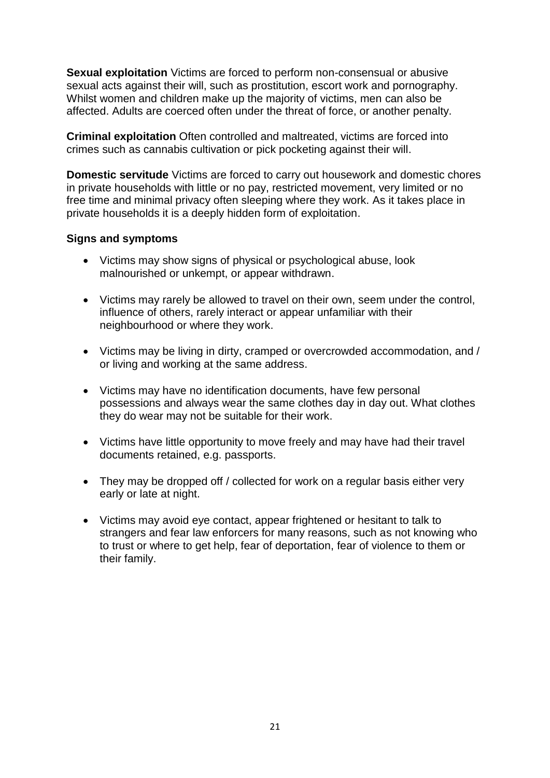**Sexual exploitation** Victims are forced to perform non-consensual or abusive sexual acts against their will, such as prostitution, escort work and pornography. Whilst women and children make up the majority of victims, men can also be affected. Adults are coerced often under the threat of force, or another penalty.

**Criminal exploitation** Often controlled and maltreated, victims are forced into crimes such as cannabis cultivation or pick pocketing against their will.

**Domestic servitude** Victims are forced to carry out housework and domestic chores in private households with little or no pay, restricted movement, very limited or no free time and minimal privacy often sleeping where they work. As it takes place in private households it is a deeply hidden form of exploitation.

#### **Signs and symptoms**

- Victims may show signs of physical or psychological abuse, look malnourished or unkempt, or appear withdrawn.
- Victims may rarely be allowed to travel on their own, seem under the control, influence of others, rarely interact or appear unfamiliar with their neighbourhood or where they work.
- Victims may be living in dirty, cramped or overcrowded accommodation, and / or living and working at the same address.
- Victims may have no identification documents, have few personal possessions and always wear the same clothes day in day out. What clothes they do wear may not be suitable for their work.
- Victims have little opportunity to move freely and may have had their travel documents retained, e.g. passports.
- They may be dropped off / collected for work on a regular basis either very early or late at night.
- Victims may avoid eye contact, appear frightened or hesitant to talk to strangers and fear law enforcers for many reasons, such as not knowing who to trust or where to get help, fear of deportation, fear of violence to them or their family.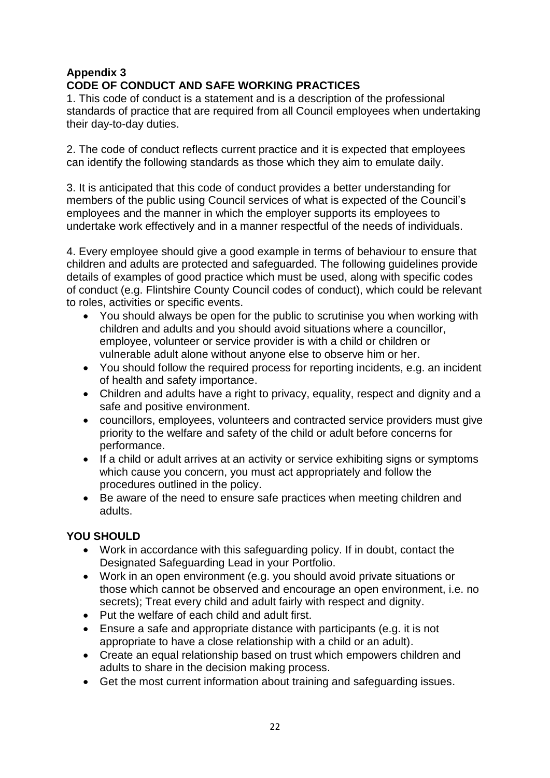#### **Appendix 3 CODE OF CONDUCT AND SAFE WORKING PRACTICES**

1. This code of conduct is a statement and is a description of the professional standards of practice that are required from all Council employees when undertaking their day-to-day duties.

2. The code of conduct reflects current practice and it is expected that employees can identify the following standards as those which they aim to emulate daily.

3. It is anticipated that this code of conduct provides a better understanding for members of the public using Council services of what is expected of the Council's employees and the manner in which the employer supports its employees to undertake work effectively and in a manner respectful of the needs of individuals.

4. Every employee should give a good example in terms of behaviour to ensure that children and adults are protected and safeguarded. The following guidelines provide details of examples of good practice which must be used, along with specific codes of conduct (e.g. Flintshire County Council codes of conduct), which could be relevant to roles, activities or specific events.

- You should always be open for the public to scrutinise you when working with children and adults and you should avoid situations where a councillor, employee, volunteer or service provider is with a child or children or vulnerable adult alone without anyone else to observe him or her.
- You should follow the required process for reporting incidents, e.g. an incident of health and safety importance.
- Children and adults have a right to privacy, equality, respect and dignity and a safe and positive environment.
- councillors, employees, volunteers and contracted service providers must give priority to the welfare and safety of the child or adult before concerns for performance.
- If a child or adult arrives at an activity or service exhibiting signs or symptoms which cause you concern, you must act appropriately and follow the procedures outlined in the policy.
- Be aware of the need to ensure safe practices when meeting children and adults.

#### **YOU SHOULD**

- Work in accordance with this safeguarding policy. If in doubt, contact the Designated Safeguarding Lead in your Portfolio.
- Work in an open environment (e.g. you should avoid private situations or those which cannot be observed and encourage an open environment, i.e. no secrets); Treat every child and adult fairly with respect and dignity.
- Put the welfare of each child and adult first.
- Ensure a safe and appropriate distance with participants (e.g. it is not appropriate to have a close relationship with a child or an adult).
- Create an equal relationship based on trust which empowers children and adults to share in the decision making process.
- Get the most current information about training and safeguarding issues.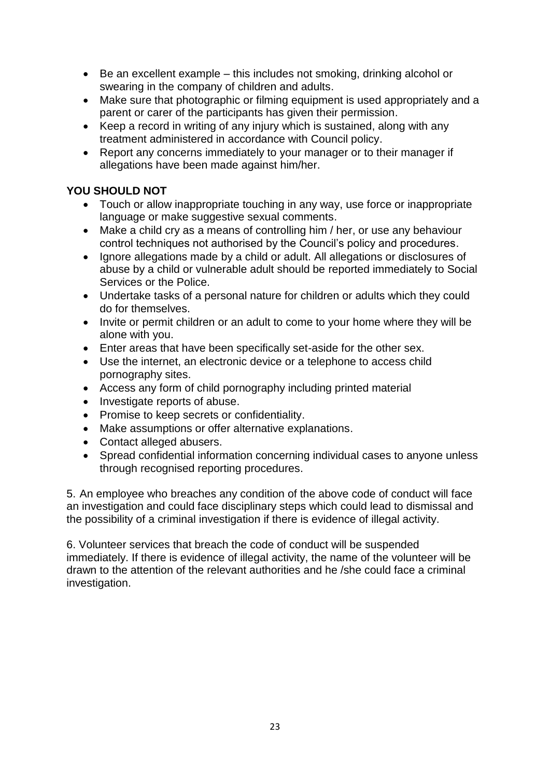- Be an excellent example this includes not smoking, drinking alcohol or swearing in the company of children and adults.
- Make sure that photographic or filming equipment is used appropriately and a parent or carer of the participants has given their permission.
- Keep a record in writing of any injury which is sustained, along with any treatment administered in accordance with Council policy.
- Report any concerns immediately to your manager or to their manager if allegations have been made against him/her.

#### **YOU SHOULD NOT**

- Touch or allow inappropriate touching in any way, use force or inappropriate language or make suggestive sexual comments.
- Make a child cry as a means of controlling him / her, or use any behaviour control techniques not authorised by the Council's policy and procedures.
- Ignore allegations made by a child or adult. All allegations or disclosures of abuse by a child or vulnerable adult should be reported immediately to Social Services or the Police.
- Undertake tasks of a personal nature for children or adults which they could do for themselves.
- Invite or permit children or an adult to come to your home where they will be alone with you.
- Enter areas that have been specifically set-aside for the other sex.
- Use the internet, an electronic device or a telephone to access child pornography sites.
- Access any form of child pornography including printed material
- Investigate reports of abuse.
- Promise to keep secrets or confidentiality.
- Make assumptions or offer alternative explanations.
- Contact alleged abusers.
- Spread confidential information concerning individual cases to anyone unless through recognised reporting procedures.

5. An employee who breaches any condition of the above code of conduct will face an investigation and could face disciplinary steps which could lead to dismissal and the possibility of a criminal investigation if there is evidence of illegal activity.

6. Volunteer services that breach the code of conduct will be suspended immediately. If there is evidence of illegal activity, the name of the volunteer will be drawn to the attention of the relevant authorities and he /she could face a criminal investigation.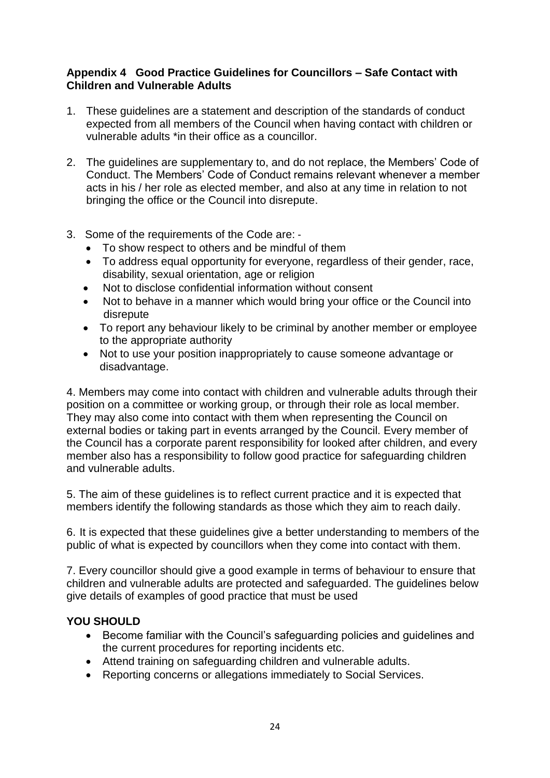#### **Appendix 4 Good Practice Guidelines for Councillors – Safe Contact with Children and Vulnerable Adults**

- 1. These guidelines are a statement and description of the standards of conduct expected from all members of the Council when having contact with children or vulnerable adults \*in their office as a councillor.
- 2. The guidelines are supplementary to, and do not replace, the Members' Code of Conduct. The Members' Code of Conduct remains relevant whenever a member acts in his / her role as elected member, and also at any time in relation to not bringing the office or the Council into disrepute.
- 3. Some of the requirements of the Code are: ‐
	- To show respect to others and be mindful of them
	- To address equal opportunity for everyone, regardless of their gender, race, disability, sexual orientation, age or religion
	- Not to disclose confidential information without consent
	- Not to behave in a manner which would bring your office or the Council into disrepute
	- To report any behaviour likely to be criminal by another member or employee to the appropriate authority
	- Not to use your position inappropriately to cause someone advantage or disadvantage.

4. Members may come into contact with children and vulnerable adults through their position on a committee or working group, or through their role as local member. They may also come into contact with them when representing the Council on external bodies or taking part in events arranged by the Council. Every member of the Council has a corporate parent responsibility for looked after children, and every member also has a responsibility to follow good practice for safeguarding children and vulnerable adults.

5. The aim of these guidelines is to reflect current practice and it is expected that members identify the following standards as those which they aim to reach daily.

6. It is expected that these guidelines give a better understanding to members of the public of what is expected by councillors when they come into contact with them.

7. Every councillor should give a good example in terms of behaviour to ensure that children and vulnerable adults are protected and safeguarded. The guidelines below give details of examples of good practice that must be used

#### **YOU SHOULD**

- Become familiar with the Council's safeguarding policies and guidelines and the current procedures for reporting incidents etc.
- Attend training on safeguarding children and vulnerable adults.
- Reporting concerns or allegations immediately to Social Services.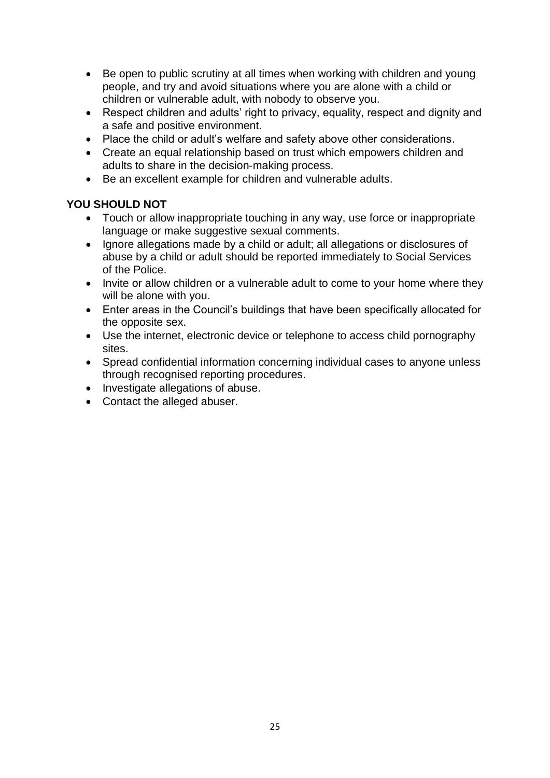- Be open to public scrutiny at all times when working with children and young people, and try and avoid situations where you are alone with a child or children or vulnerable adult, with nobody to observe you.
- Respect children and adults' right to privacy, equality, respect and dignity and a safe and positive environment.
- Place the child or adult's welfare and safety above other considerations.
- Create an equal relationship based on trust which empowers children and adults to share in the decision‐making process.
- Be an excellent example for children and vulnerable adults.

#### **YOU SHOULD NOT**

- Touch or allow inappropriate touching in any way, use force or inappropriate language or make suggestive sexual comments.
- Ignore allegations made by a child or adult; all allegations or disclosures of abuse by a child or adult should be reported immediately to Social Services of the Police.
- Invite or allow children or a vulnerable adult to come to your home where they will be alone with you.
- Enter areas in the Council's buildings that have been specifically allocated for the opposite sex.
- Use the internet, electronic device or telephone to access child pornography sites.
- Spread confidential information concerning individual cases to anyone unless through recognised reporting procedures.
- Investigate allegations of abuse.
- Contact the alleged abuser.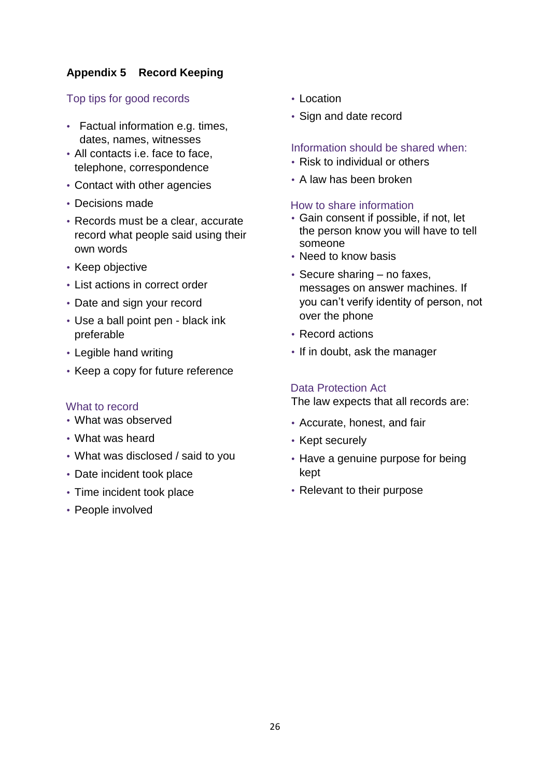#### **Appendix 5 Record Keeping**

#### Top tips for good records

- Factual information e.g. times, dates, names, witnesses
- All contacts i.e. face to face, telephone, correspondence
- Contact with other agencies
- Decisions made
- Records must be a clear, accurate record what people said using their own words
- Keep objective
- List actions in correct order
- Date and sign your record
- Use a ball point pen black ink preferable
- Legible hand writing
- Keep a copy for future reference

#### What to record

- What was observed
- What was heard
- What was disclosed / said to you
- Date incident took place
- Time incident took place
- People involved
- Location
- Sign and date record

#### Information should be shared when:

- Risk to individual or others
- A law has been broken

#### How to share information

- Gain consent if possible, if not, let the person know you will have to tell someone
- Need to know basis
- Secure sharing no faxes, messages on answer machines. If you can't verify identity of person, not over the phone
- Record actions
- If in doubt, ask the manager

#### Data Protection Act

The law expects that all records are:

- Accurate, honest, and fair
- Kept securely
- Have a genuine purpose for being kept
- Relevant to their purpose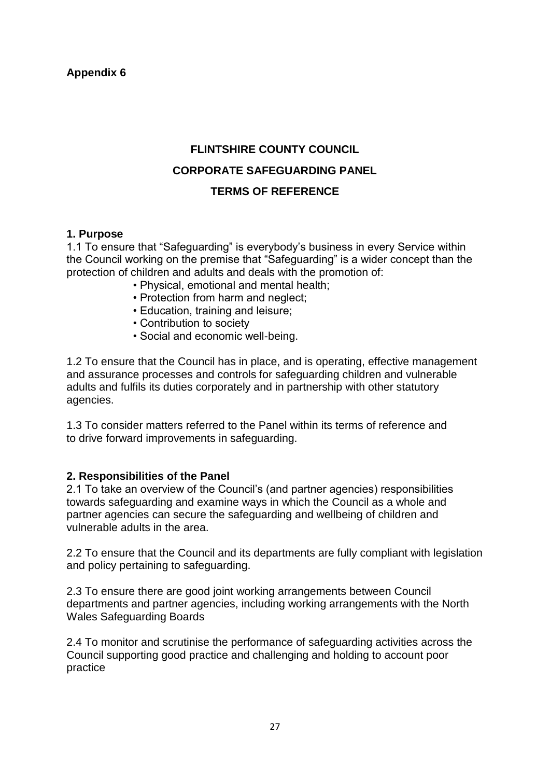#### **FLINTSHIRE COUNTY COUNCIL**

#### **CORPORATE SAFEGUARDING PANEL**

#### **TERMS OF REFERENCE**

#### **1. Purpose**

1.1 To ensure that "Safeguarding" is everybody's business in every Service within the Council working on the premise that "Safeguarding" is a wider concept than the protection of children and adults and deals with the promotion of:

- Physical, emotional and mental health;
- Protection from harm and neglect;
- Education, training and leisure;
- Contribution to society
- Social and economic well-being.

1.2 To ensure that the Council has in place, and is operating, effective management and assurance processes and controls for safeguarding children and vulnerable adults and fulfils its duties corporately and in partnership with other statutory agencies.

1.3 To consider matters referred to the Panel within its terms of reference and to drive forward improvements in safeguarding.

#### **2. Responsibilities of the Panel**

2.1 To take an overview of the Council's (and partner agencies) responsibilities towards safeguarding and examine ways in which the Council as a whole and partner agencies can secure the safeguarding and wellbeing of children and vulnerable adults in the area.

2.2 To ensure that the Council and its departments are fully compliant with legislation and policy pertaining to safeguarding.

2.3 To ensure there are good joint working arrangements between Council departments and partner agencies, including working arrangements with the North Wales Safeguarding Boards

2.4 To monitor and scrutinise the performance of safeguarding activities across the Council supporting good practice and challenging and holding to account poor practice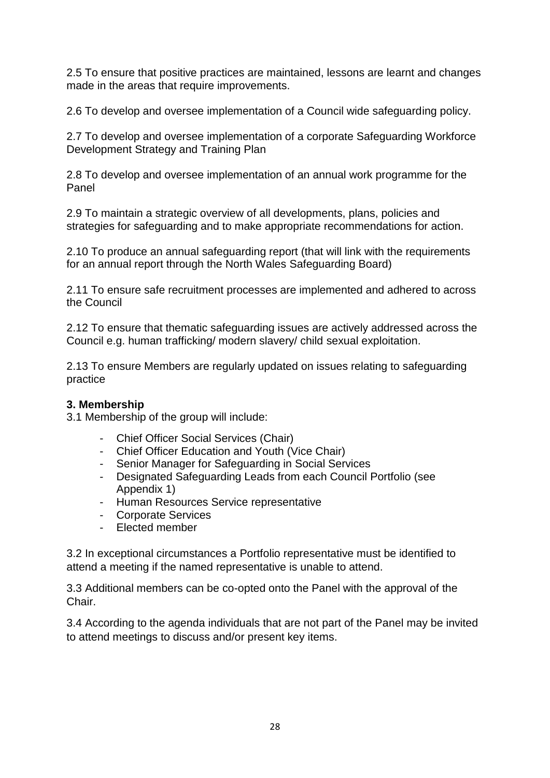2.5 To ensure that positive practices are maintained, lessons are learnt and changes made in the areas that require improvements.

2.6 To develop and oversee implementation of a Council wide safeguarding policy.

2.7 To develop and oversee implementation of a corporate Safeguarding Workforce Development Strategy and Training Plan

2.8 To develop and oversee implementation of an annual work programme for the Panel

2.9 To maintain a strategic overview of all developments, plans, policies and strategies for safeguarding and to make appropriate recommendations for action.

2.10 To produce an annual safeguarding report (that will link with the requirements for an annual report through the North Wales Safeguarding Board)

2.11 To ensure safe recruitment processes are implemented and adhered to across the Council

2.12 To ensure that thematic safeguarding issues are actively addressed across the Council e.g. human trafficking/ modern slavery/ child sexual exploitation.

2.13 To ensure Members are regularly updated on issues relating to safeguarding practice

#### **3. Membership**

3.1 Membership of the group will include:

- Chief Officer Social Services (Chair)
- Chief Officer Education and Youth (Vice Chair)
- Senior Manager for Safeguarding in Social Services
- Designated Safeguarding Leads from each Council Portfolio (see Appendix 1)
- Human Resources Service representative
- Corporate Services
- Elected member

3.2 In exceptional circumstances a Portfolio representative must be identified to attend a meeting if the named representative is unable to attend.

3.3 Additional members can be co-opted onto the Panel with the approval of the Chair.

3.4 According to the agenda individuals that are not part of the Panel may be invited to attend meetings to discuss and/or present key items.